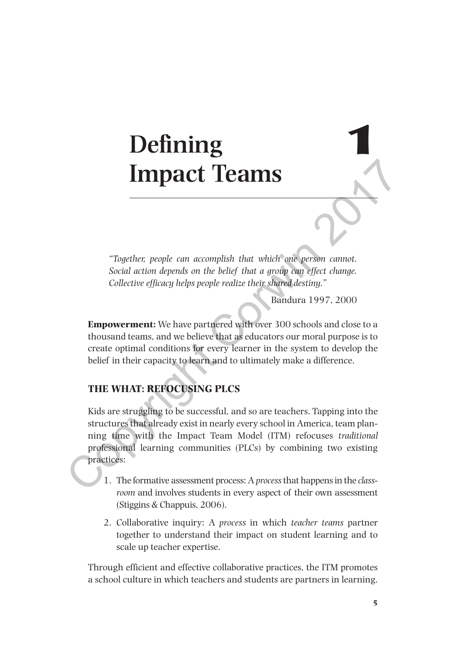# **Defining Impact Teams**

*"Together, people can accomplish that which one person cannot. Social action depends on the belief that a group can effect change. Collective efficacy helps people realize their shared destiny."* 

Bandura 1997, 2000

**Empowerment:** We have partnered with over 300 schools and close to a thousand teams, and we believe that as educators our moral purpose is to create optimal conditions for every learner in the system to develop the belief in their capacity to learn and to ultimately make a difference.

# **THE WHAT: REFOCUSING PLCS**

Kids are struggling to be successful, and so are teachers. Tapping into the structures that already exist in nearly every school in America, team planning time with the Impact Team Model (ITM) refocuses *traditional* professional learning communities (PLCs) by combining two existing practices: **Example:**<br>
The formative and increases the best of their and the distance productions of the term of the set of the set of the set of the set of the set of the set of the set of the set of the set of the core capture (Set

- 1. The formative assessment process: A *process* that happens in the *classroom* and involves students in every aspect of their own assessment (Stiggins & Chappuis, 2006).
- 2. Collaborative inquiry: A *process* in which *teacher teams* partner together to understand their impact on student learning and to scale up teacher expertise.

Through efficient and effective collaborative practices, the ITM promotes a school culture in which teachers and students are partners in learning.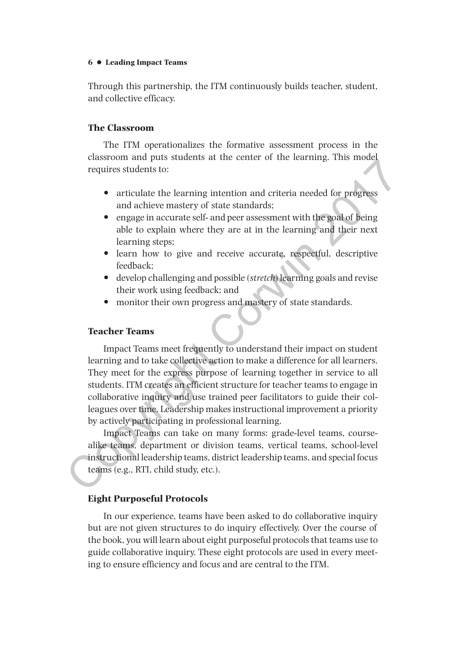## **6 Leading Impact Teams**

Through this partnership, the ITM continuously builds teacher, student, and collective efficacy.

# **The Classroom**

The ITM operationalizes the formative assessment process in the classroom and puts students at the center of the learning. This model requires students to:

- articulate the learning intention and criteria needed for progress and achieve mastery of state standards;
- $\bullet$  engage in accurate self- and peer assessment with the goal of being able to explain where they are at in the learning and their next learning steps;
- learn how to give and receive accurate, respectful, descriptive feedback;
- yy develop challenging and possible (*stretch*) learning goals and revise their work using feedback; and
- monitor their own progress and mastery of state standards.

## **Teacher Teams**

Impact Teams meet frequently to understand their impact on student learning and to take collective action to make a difference for all learners. They meet for the express purpose of learning together in service to all students. ITM creates an efficient structure for teacher teams to engage in collaborative inquiry and use trained peer facilitators to guide their colleagues over time. Leadership makes instructional improvement a priority by actively participating in professional learning. **Example 12** states of the content of the keating the incorection and columns of the learning intention and criteria needed for progress and achieve mastery of state standards:<br> **example to explain where they are at in th** 

Impact Teams can take on many forms: grade-level teams, coursealike teams, department or division teams, vertical teams, school-level instructional leadership teams, district leadership teams, and special focus teams (e.g., RTI, child study, etc.).

## **Eight Purposeful Protocols**

In our experience, teams have been asked to do collaborative inquiry but are not given structures to do inquiry effectively. Over the course of the book, you will learn about eight purposeful protocols that teams use to guide collaborative inquiry. These eight protocols are used in every meeting to ensure efficiency and focus and are central to the ITM.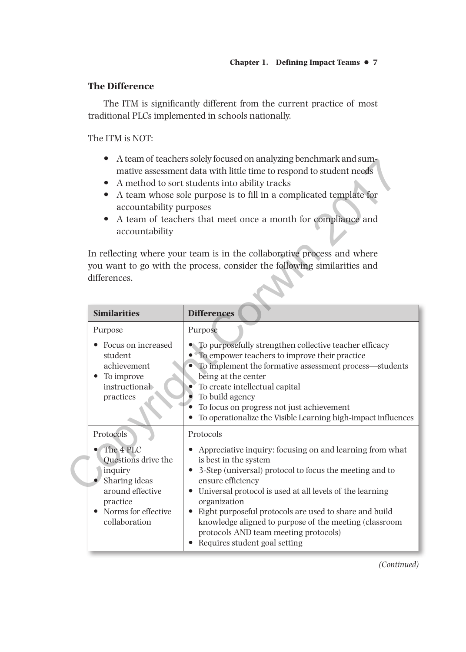# **The Difference**

The ITM is significantly different from the current practice of most traditional PLCs implemented in schools nationally.

The ITM is NOT:

- A team of teachers solely focused on analyzing benchmark and summative assessment data with little time to respond to student needs
- A method to sort students into ability tracks
- A team whose sole purpose is to fill in a complicated template for accountability purposes
- yy A team of teachers that meet once a month for compliance and accountability

| $\bullet$<br>$\bullet$<br>accountability purposes<br>$\bullet$<br>accountability<br>differences.                                     | A team of teachers solely locused on analyzing benchmark and sum-<br>mative assessment data with little time to respond to student needs<br>A method to sort students into ability tracks<br>A team whose sole purpose is to fill in a complicated template for<br>A team of teachers that meet once a month for compliance and<br>In reflecting where your team is in the collaborative process and where<br>you want to go with the process, consider the following similarities and |
|--------------------------------------------------------------------------------------------------------------------------------------|----------------------------------------------------------------------------------------------------------------------------------------------------------------------------------------------------------------------------------------------------------------------------------------------------------------------------------------------------------------------------------------------------------------------------------------------------------------------------------------|
| <b>Similarities</b>                                                                                                                  | <b>Differences</b>                                                                                                                                                                                                                                                                                                                                                                                                                                                                     |
| Purpose                                                                                                                              | Purpose                                                                                                                                                                                                                                                                                                                                                                                                                                                                                |
| Focus on increased<br>$\bullet$<br>student<br>achievement<br>$\bullet$ To improve<br>instructional<br>practices                      | . To purposefully strengthen collective teacher efficacy<br>• To empower teachers to improve their practice<br>To implement the formative assessment process-students<br>being at the center<br>To create intellectual capital<br>To build agency<br>To focus on progress not just achievement<br>To operationalize the Visible Learning high-impact influences                                                                                                                        |
| Protocols                                                                                                                            | Protocols                                                                                                                                                                                                                                                                                                                                                                                                                                                                              |
| The 4 PLC<br>Questions drive the<br>inquiry<br>Sharing ideas<br>around effective<br>practice<br>Norms for effective<br>collaboration | Appreciative inquiry: focusing on and learning from what<br>$\bullet$<br>is best in the system<br>• 3-Step (universal) protocol to focus the meeting and to<br>ensure efficiency<br>• Universal protocol is used at all levels of the learning<br>organization<br>• Eight purposeful protocols are used to share and build<br>knowledge aligned to purpose of the meeting (classroom<br>protocols AND team meeting protocols)<br>Requires student goal setting<br>$\bullet$            |

*(Continued)*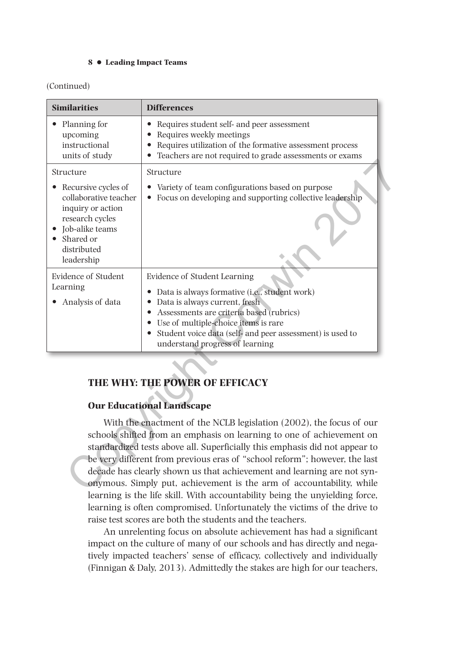## **8 Leading Impact Teams**

## (Continued)

| <b>Similarities</b>                                                                                                                               | <b>Differences</b>                                                                                                                                                                                                                                                                                                                                                                                                                                          |  |  |
|---------------------------------------------------------------------------------------------------------------------------------------------------|-------------------------------------------------------------------------------------------------------------------------------------------------------------------------------------------------------------------------------------------------------------------------------------------------------------------------------------------------------------------------------------------------------------------------------------------------------------|--|--|
| Planning for<br>$\bullet$<br>upcoming<br>instructional<br>units of study                                                                          | Requires student self- and peer assessment<br>Requires weekly meetings<br>Requires utilization of the formative assessment process<br>Teachers are not required to grade assessments or exams                                                                                                                                                                                                                                                               |  |  |
| Structure                                                                                                                                         | Structure                                                                                                                                                                                                                                                                                                                                                                                                                                                   |  |  |
| Recursive cycles of<br>collaborative teacher<br>inquiry or action<br>research cycles<br>Job-alike teams<br>Shared or<br>distributed<br>leadership | Variety of team configurations based on purpose<br>Focus on developing and supporting collective leadership                                                                                                                                                                                                                                                                                                                                                 |  |  |
| <b>Evidence of Student</b><br>Learning                                                                                                            | Evidence of Student Learning                                                                                                                                                                                                                                                                                                                                                                                                                                |  |  |
| Analysis of data                                                                                                                                  | Data is always formative (i.e., student work)<br>Data is always current, fresh<br>Assessments are criteria based (rubrics)<br>Use of multiple-choice items is rare<br>Student voice data (self- and peer assessment) is used to<br>understand progress of learning                                                                                                                                                                                          |  |  |
|                                                                                                                                                   |                                                                                                                                                                                                                                                                                                                                                                                                                                                             |  |  |
| THE WHY: THE POWER OF EFFICACY                                                                                                                    |                                                                                                                                                                                                                                                                                                                                                                                                                                                             |  |  |
| <b>Our Educational Landscape</b>                                                                                                                  |                                                                                                                                                                                                                                                                                                                                                                                                                                                             |  |  |
|                                                                                                                                                   | With the enactment of the NCLB legislation (2002), the focus of our<br>schools shifted from an emphasis on learning to one of achievement on<br>standardized tests above all. Superficially this emphasis did not appear to<br>be very different from previous eras of "school reform"; however, the last<br>decade has clearly shown us that achievement and learning are not syn-<br>onymous. Simply put, achievement is the arm of accountability, while |  |  |

# **THE WHY: THE POWER OF EFFICACY**

# **Our Educational Landscape**

With the enactment of the NCLB legislation (2002), the focus of our schools shifted from an emphasis on learning to one of achievement on standardized tests above all. Superficially this emphasis did not appear to be very different from previous eras of "school reform"; however, the last decade has clearly shown us that achievement and learning are not synonymous. Simply put, achievement is the arm of accountability, while learning is the life skill. With accountability being the unyielding force, learning is often compromised. Unfortunately the victims of the drive to raise test scores are both the students and the teachers.

An unrelenting focus on absolute achievement has had a significant impact on the culture of many of our schools and has directly and negatively impacted teachers' sense of efficacy, collectively and individually (Finnigan & Daly, 2013). Admittedly the stakes are high for our teachers,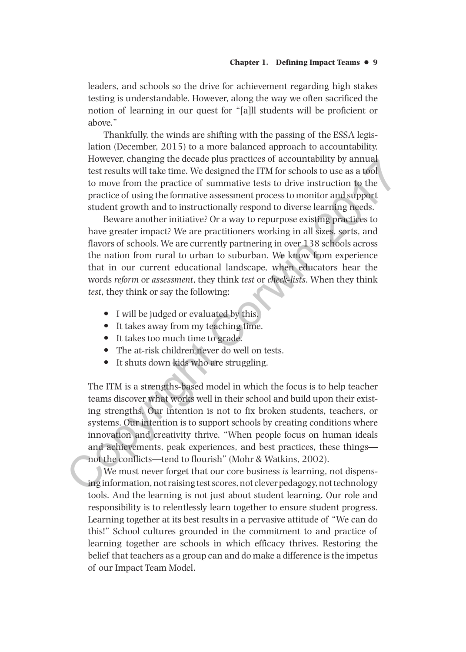#### **Chapter 1. Defining Impact Teams 9**

leaders, and schools so the drive for achievement regarding high stakes testing is understandable. However, along the way we often sacrificed the notion of learning in our quest for "[a]ll students will be proficient or above."

Thankfully, the winds are shifting with the passing of the ESSA legislation (December, 2015) to a more balanced approach to accountability. However, changing the decade plus practices of accountability by annual test results will take time. We designed the ITM for schools to use as a tool to move from the practice of summative tests to drive instruction to the practice of using the formative assessment process to monitor and support student growth and to instructionally respond to diverse learning needs.

Beware another initiative? Or a way to repurpose existing practices to have greater impact? We are practitioners working in all sizes, sorts, and flavors of schools. We are currently partnering in over 138 schools across the nation from rural to urban to suburban. We know from experience that in our current educational landscape, when educators hear the words *reform* or *assessment*, they think *test* or *check-lists*. When they think *test*, they think or say the following: moveer, changing to tectacle puss paractes on accountationly by annian decirculate test results will lake time. We designed the TIM for schools to use as a tool<br>to move from the practice of summative tests to drive instruc

- I will be judged or evaluated by this.
- It takes away from my teaching time.
- It takes too much time to grade.
- The at-risk children never do well on tests.
- It shuts down kids who are struggling.

The ITM is a strengths-based model in which the focus is to help teacher teams discover what works well in their school and build upon their existing strengths. Our intention is not to fix broken students, teachers, or systems. Our intention is to support schools by creating conditions where innovation and creativity thrive. "When people focus on human ideals and achievements, peak experiences, and best practices, these things not the conflicts—tend to flourish" (Mohr & Watkins, 2002).

We must never forget that our core business *is* learning, not dispensing information, not raising test scores, not clever pedagogy, not technology tools. And the learning is not just about student learning. Our role and responsibility is to relentlessly learn together to ensure student progress. Learning together at its best results in a pervasive attitude of "We can do this!" School cultures grounded in the commitment to and practice of learning together are schools in which efficacy thrives. Restoring the belief that teachers as a group can and do make a difference is the impetus of our Impact Team Model.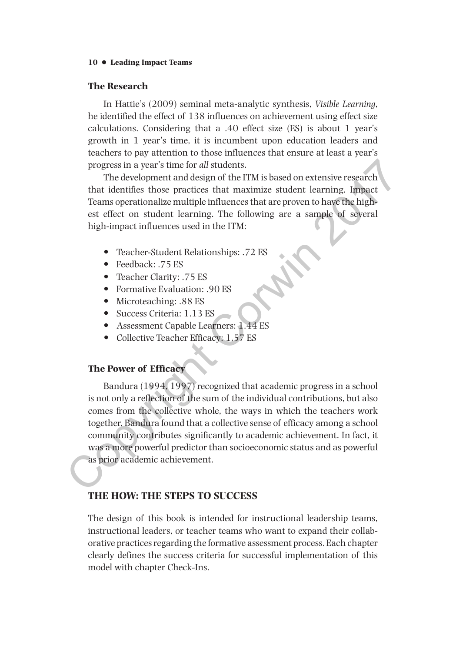### **10 Leading Impact Teams**

## **The Research**

In Hattie's (2009) seminal meta-analytic synthesis, *Visible Learning*, he identified the effect of 138 influences on achievement using effect size calculations. Considering that a .40 effect size (ES) is about 1 year's growth in 1 year's time, it is incumbent upon education leaders and teachers to pay attention to those influences that ensure at least a year's progress in a year's time for *all* students.

The development and design of the ITM is based on extensive research that identifies those practices that maximize student learning. Impact Teams operationalize multiple influences that are proven to have the highest effect on student learning. The following are a sample of several high-impact influences used in the ITM:

- Teacher-Student Relationships: .72 ES
- $\bullet$  Feedback: .75 ES
- Teacher Clarity: .75 ES
- Formative Evaluation: .90 ES
- Microteaching: .88 ES
- Success Criteria: 1.13 ES
- Assessment Capable Learners: 1.44 ES
- Collective Teacher Efficacy: 1.57 ES

# **The Power of Efficacy**

Bandura (1994, 1997) recognized that academic progress in a school is not only a reflection of the sum of the individual contributions, but also comes from the collective whole, the ways in which the teachers work together. Bandura found that a collective sense of efficacy among a school community contributes significantly to academic achievement. In fact, it was a more powerful predictor than socioeconomic status and as powerful as prior academic achievement. progress in a year's time for all students.<br>
The development and design of the ITM is based on extensive research<br>
that identifies those practices that maximize student learning. Impact<br>
Teams operationalize multiple infl

# **THE HOW: THE STEPS TO SUCCESS**

The design of this book is intended for instructional leadership teams, instructional leaders, or teacher teams who want to expand their collaborative practices regarding the formative assessment process. Each chapter clearly defines the success criteria for successful implementation of this model with chapter Check-Ins.